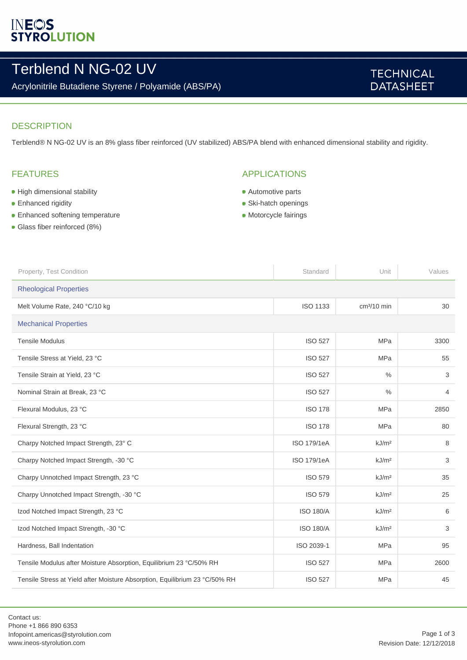# **INEOS**<br>STYROLUTION

# Terblend N NG-02 UV

Acrylonitrile Butadiene Styrene / Polyamide (ABS/PA)

## **TECHNICAL DATASHEET**

### **DESCRIPTION**

Terblend® N NG-02 UV is an 8% glass fiber reinforced (UV stabilized) ABS/PA blend with enhanced dimensional stability and rigidity.

## FEATURES

- **High dimensional stability**
- **Enhanced rigidity**
- **Enhanced softening temperature**
- Glass fiber reinforced (8%)

### APPLICATIONS

- **Automotive parts**
- Ski-hatch openings
- Motorcycle fairings

| Property, Test Condition                                                    | Standard           | Unit              | Values         |  |
|-----------------------------------------------------------------------------|--------------------|-------------------|----------------|--|
| <b>Rheological Properties</b>                                               |                    |                   |                |  |
| Melt Volume Rate, 240 °C/10 kg                                              | <b>ISO 1133</b>    | $cm3/10$ min      | 30             |  |
| <b>Mechanical Properties</b>                                                |                    |                   |                |  |
| <b>Tensile Modulus</b>                                                      | <b>ISO 527</b>     | <b>MPa</b>        | 3300           |  |
| Tensile Stress at Yield, 23 °C                                              | <b>ISO 527</b>     | <b>MPa</b>        | 55             |  |
| Tensile Strain at Yield, 23 °C                                              | <b>ISO 527</b>     | $\frac{0}{0}$     | 3              |  |
| Nominal Strain at Break, 23 °C                                              | <b>ISO 527</b>     | $\frac{0}{0}$     | $\overline{4}$ |  |
| Flexural Modulus, 23 °C                                                     | <b>ISO 178</b>     | <b>MPa</b>        | 2850           |  |
| Flexural Strength, 23 °C                                                    | <b>ISO 178</b>     | <b>MPa</b>        | 80             |  |
| Charpy Notched Impact Strength, 23° C                                       | <b>ISO 179/1eA</b> | kJ/m <sup>2</sup> | 8              |  |
| Charpy Notched Impact Strength, -30 °C                                      | <b>ISO 179/1eA</b> | kJ/m <sup>2</sup> | 3              |  |
| Charpy Unnotched Impact Strength, 23 °C                                     | <b>ISO 579</b>     | kJ/m <sup>2</sup> | 35             |  |
| Charpy Unnotched Impact Strength, -30 °C                                    | <b>ISO 579</b>     | kJ/m <sup>2</sup> | 25             |  |
| Izod Notched Impact Strength, 23 °C                                         | <b>ISO 180/A</b>   | kJ/m <sup>2</sup> | 6              |  |
| Izod Notched Impact Strength, -30 °C                                        | <b>ISO 180/A</b>   | kJ/m <sup>2</sup> | 3              |  |
| Hardness, Ball Indentation                                                  | ISO 2039-1         | <b>MPa</b>        | 95             |  |
| Tensile Modulus after Moisture Absorption, Equilibrium 23 °C/50% RH         | <b>ISO 527</b>     | <b>MPa</b>        | 2600           |  |
| Tensile Stress at Yield after Moisture Absorption, Equilibrium 23 °C/50% RH | <b>ISO 527</b>     | <b>MPa</b>        | 45             |  |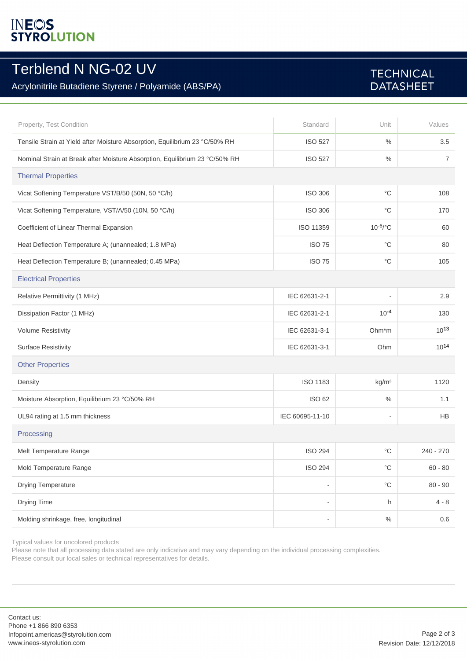# **INEOS**<br>STYROLUTION

## Terblend N NG-02 UV

## Acrylonitrile Butadiene Styrene / Polyamide (ABS/PA)

## **TECHNICAL DATASHEET**

| Property, Test Condition                                                    | Standard                 | Unit              | Values         |  |
|-----------------------------------------------------------------------------|--------------------------|-------------------|----------------|--|
| Tensile Strain at Yield after Moisture Absorption, Equilibrium 23 °C/50% RH | <b>ISO 527</b>           | $\%$              | 3.5            |  |
| Nominal Strain at Break after Moisture Absorption, Equilibrium 23 °C/50% RH | <b>ISO 527</b>           | $\%$              | $\overline{7}$ |  |
| <b>Thermal Properties</b>                                                   |                          |                   |                |  |
| Vicat Softening Temperature VST/B/50 (50N, 50 °C/h)                         | <b>ISO 306</b>           | $^{\circ}C$       | 108            |  |
| Vicat Softening Temperature, VST/A/50 (10N, 50 °C/h)                        | <b>ISO 306</b>           | $^{\circ}C$       | 170            |  |
| Coefficient of Linear Thermal Expansion                                     | ISO 11359                | $10^{-6}$ /°C     | 60             |  |
| Heat Deflection Temperature A; (unannealed; 1.8 MPa)                        | <b>ISO 75</b>            | $^{\circ}$ C      | 80             |  |
| Heat Deflection Temperature B; (unannealed; 0.45 MPa)                       | <b>ISO 75</b>            | $^{\circ}$ C      | 105            |  |
| <b>Electrical Properties</b>                                                |                          |                   |                |  |
| Relative Permittivity (1 MHz)                                               | IEC 62631-2-1            |                   | 2.9            |  |
| Dissipation Factor (1 MHz)                                                  | IEC 62631-2-1            | $10^{-4}$         | 130            |  |
| <b>Volume Resistivity</b>                                                   | IEC 62631-3-1            | Ohm*m             | $10^{13}$      |  |
| <b>Surface Resistivity</b>                                                  | IEC 62631-3-1            | Ohm               | $10^{14}$      |  |
| <b>Other Properties</b>                                                     |                          |                   |                |  |
| Density                                                                     | <b>ISO 1183</b>          | kg/m <sup>3</sup> | 1120           |  |
| Moisture Absorption, Equilibrium 23 °C/50% RH                               | ISO 62                   | $\%$              | 1.1            |  |
| UL94 rating at 1.5 mm thickness                                             | IEC 60695-11-10          | ٠                 | HB             |  |
| Processing                                                                  |                          |                   |                |  |
| Melt Temperature Range                                                      | <b>ISO 294</b>           | °C                | $240 - 270$    |  |
| Mold Temperature Range                                                      | <b>ISO 294</b>           | $^{\circ}{\rm C}$ | $60 - 80$      |  |
| Drying Temperature                                                          | $\overline{a}$           | $^{\circ}{\rm C}$ | $80 - 90$      |  |
| Drying Time                                                                 | $\overline{a}$           | h                 | $4 - 8$        |  |
| Molding shrinkage, free, longitudinal                                       | $\overline{\phantom{0}}$ | $\%$              | 0.6            |  |

Typical values for uncolored products

Please note that all processing data stated are only indicative and may vary depending on the individual processing complexities. Please consult our local sales or technical representatives for details.